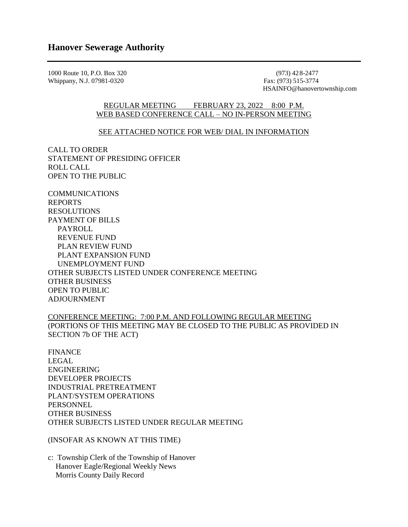1000 Route 10, P.O. Box 320 (973) 428-2477 Whippany, N.J. 07981-0320 Fax: (973) 515-3774

HSAINFO@hanovertownship.com

## REGULAR MEETING FEBRUARY 23, 2022 8:00 P.M. WEB BASED CONFERENCE CALL – NO IN-PERSON MEETING

## SEE ATTACHED NOTICE FOR WEB/ DIAL IN INFORMATION

CALL TO ORDER STATEMENT OF PRESIDING OFFICER ROLL CALL OPEN TO THE PUBLIC

COMMUNICATIONS REPORTS RESOLUTIONS PAYMENT OF BILLS PAYROLL REVENUE FUND PLAN REVIEW FUND PLANT EXPANSION FUND UNEMPLOYMENT FUND OTHER SUBJECTS LISTED UNDER CONFERENCE MEETING OTHER BUSINESS OPEN TO PUBLIC ADJOURNMENT

CONFERENCE MEETING: 7:00 P.M. AND FOLLOWING REGULAR MEETING (PORTIONS OF THIS MEETING MAY BE CLOSED TO THE PUBLIC AS PROVIDED IN SECTION 7b OF THE ACT)

FINANCE LEGAL ENGINEERING DEVELOPER PROJECTS INDUSTRIAL PRETREATMENT PLANT/SYSTEM OPERATIONS **PERSONNEL** OTHER BUSINESS OTHER SUBJECTS LISTED UNDER REGULAR MEETING

(INSOFAR AS KNOWN AT THIS TIME)

c: Township Clerk of the Township of Hanover Hanover Eagle/Regional Weekly News Morris County Daily Record